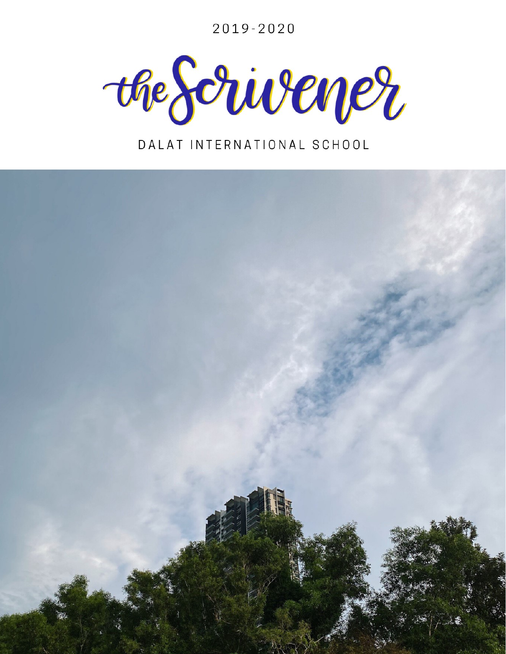2019-2020



### DALAT INTERNATIONAL SCHOOL

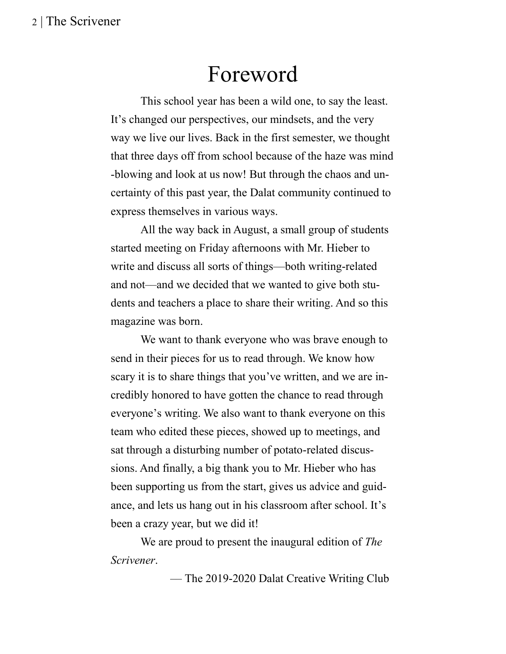## Foreword

This school year has been a wild one, to say the least. It's changed our perspectives, our mindsets, and the very way we live our lives. Back in the first semester, we thought that three days off from school because of the haze was mind -blowing and look at us now! But through the chaos and uncertainty of this past year, the Dalat community continued to express themselves in various ways.

All the way back in August, a small group of students started meeting on Friday afternoons with Mr. Hieber to write and discuss all sorts of things––both writing-related and not––and we decided that we wanted to give both students and teachers a place to share their writing. And so this magazine was born.

We want to thank everyone who was brave enough to send in their pieces for us to read through. We know how scary it is to share things that you've written, and we are incredibly honored to have gotten the chance to read through everyone's writing. We also want to thank everyone on this team who edited these pieces, showed up to meetings, and sat through a disturbing number of potato-related discussions. And finally, a big thank you to Mr. Hieber who has been supporting us from the start, gives us advice and guidance, and lets us hang out in his classroom after school. It's been a crazy year, but we did it!

We are proud to present the inaugural edition of *The Scrivener*.

–– The 2019-2020 Dalat Creative Writing Club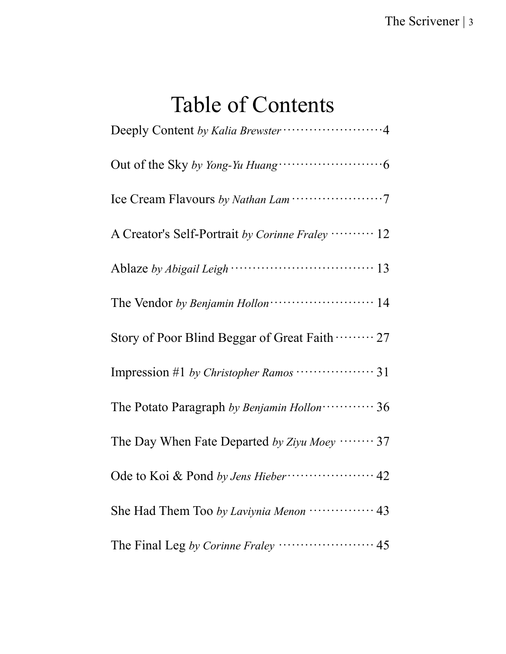# Table of Contents

| A Creator's Self-Portrait by Corinne Fraley ………. 12     |
|---------------------------------------------------------|
|                                                         |
|                                                         |
| Story of Poor Blind Beggar of Great Faith  27           |
|                                                         |
| The Potato Paragraph by Benjamin Hollon ············ 36 |
| The Day When Fate Departed by Ziyu Moey  37             |
| Ode to Koi & Pond by Jens Hieber (1997) 42              |
| She Had Them Too by Laviynia Menon ················ 43  |
|                                                         |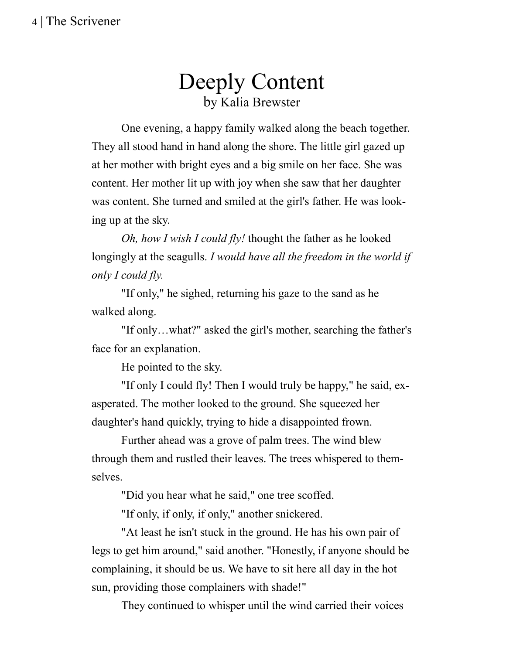### Deeply Content by Kalia Brewster

One evening, a happy family walked along the beach together. They all stood hand in hand along the shore. The little girl gazed up at her mother with bright eyes and a big smile on her face. She was content. Her mother lit up with joy when she saw that her daughter was content. She turned and smiled at the girl's father. He was looking up at the sky.

*Oh, how I wish I could fly!* thought the father as he looked longingly at the seagulls. *I would have all the freedom in the world if only I could fly.*

"If only," he sighed, returning his gaze to the sand as he walked along.

"If only…what?" asked the girl's mother, searching the father's face for an explanation.

He pointed to the sky.

"If only I could fly! Then I would truly be happy," he said, exasperated. The mother looked to the ground. She squeezed her daughter's hand quickly, trying to hide a disappointed frown.

Further ahead was a grove of palm trees. The wind blew through them and rustled their leaves. The trees whispered to themselves.

"Did you hear what he said," one tree scoffed.

"If only, if only, if only," another snickered.

"At least he isn't stuck in the ground. He has his own pair of legs to get him around," said another. "Honestly, if anyone should be complaining, it should be us. We have to sit here all day in the hot sun, providing those complainers with shade!"

They continued to whisper until the wind carried their voices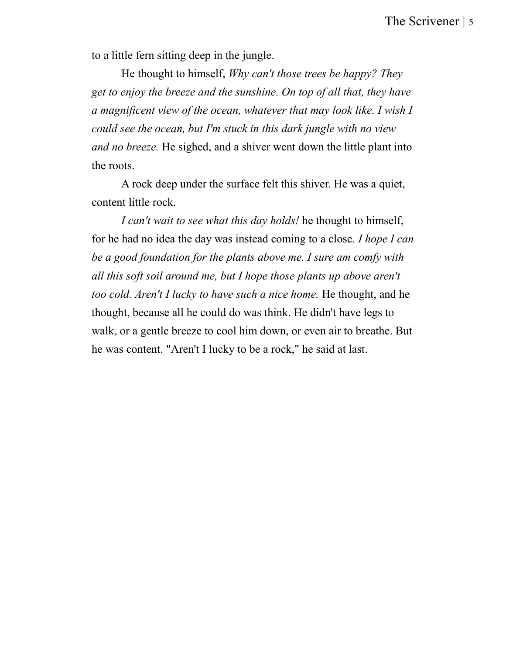to a little fern sitting deep in the jungle.

He thought to himself, *Why can't those trees be happy? They get to enjoy the breeze and the sunshine. On top of all that, they have a magnificent view of the ocean, whatever that may look like. I wish I could see the ocean, but I'm stuck in this dark jungle with no view and no breeze.* He sighed, and a shiver went down the little plant into the roots.

A rock deep under the surface felt this shiver. He was a quiet, content little rock.

*I can't wait to see what this day holds!* he thought to himself, for he had no idea the day was instead coming to a close. *I hope I can be a good foundation for the plants above me. I sure am comfy with all this soft soil around me, but I hope those plants up above aren't too cold. Aren't I lucky to have such a nice home.* He thought, and he thought, because all he could do was think. He didn't have legs to walk, or a gentle breeze to cool him down, or even air to breathe. But he was content. "Aren't I lucky to be a rock," he said at last.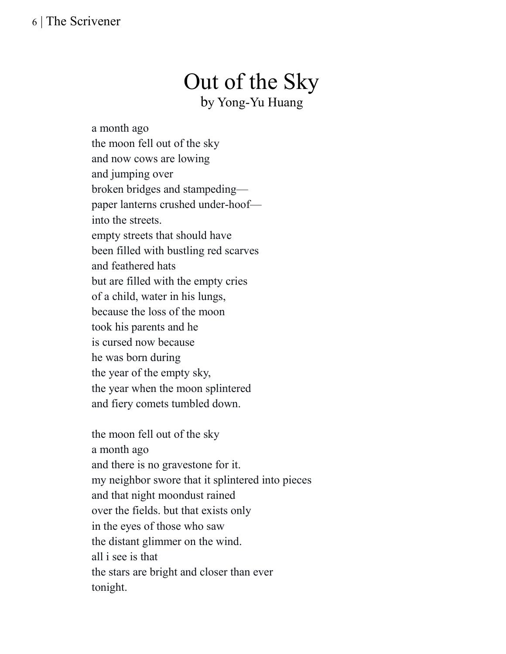# Out of the Sky

by Yong-Yu Huang

a month ago the moon fell out of the sky and now cows are lowing and jumping over broken bridges and stampeding paper lanterns crushed under-hoof into the streets. empty streets that should have been filled with bustling red scarves and feathered hats but are filled with the empty cries of a child, water in his lungs, because the loss of the moon took his parents and he is cursed now because he was born during the year of the empty sky, the year when the moon splintered and fiery comets tumbled down.

the moon fell out of the sky a month ago and there is no gravestone for it. my neighbor swore that it splintered into pieces and that night moondust rained over the fields. but that exists only in the eyes of those who saw the distant glimmer on the wind. all i see is that the stars are bright and closer than ever tonight.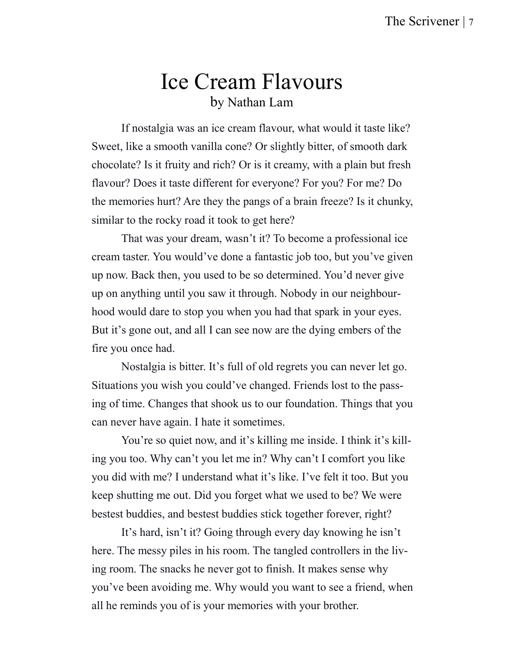### Ice Cream Flavours by Nathan Lam

If nostalgia was an ice cream flavour, what would it taste like? Sweet, like a smooth vanilla cone? Or slightly bitter, of smooth dark chocolate? Is it fruity and rich? Or is it creamy, with a plain but fresh flavour? Does it taste different for everyone? For you? For me? Do the memories hurt? Are they the pangs of a brain freeze? Is it chunky, similar to the rocky road it took to get here?

That was your dream, wasn't it? To become a professional ice cream taster. You would've done a fantastic job too, but you've given up now. Back then, you used to be so determined. You'd never give up on anything until you saw it through. Nobody in our neighbourhood would dare to stop you when you had that spark in your eyes. But it's gone out, and all I can see now are the dying embers of the fire you once had.

Nostalgia is bitter. It's full of old regrets you can never let go. Situations you wish you could've changed. Friends lost to the passing of time. Changes that shook us to our foundation. Things that you can never have again. I hate it sometimes.

You're so quiet now, and it's killing me inside. I think it's killing you too. Why can't you let me in? Why can't I comfort you like you did with me? I understand what it's like. I've felt it too. But you keep shutting me out. Did you forget what we used to be? We were bestest buddies, and bestest buddies stick together forever, right?

It's hard, isn't it? Going through every day knowing he isn't here. The messy piles in his room. The tangled controllers in the living room. The snacks he never got to finish. It makes sense why you've been avoiding me. Why would you want to see a friend, when all he reminds you of is your memories with your brother.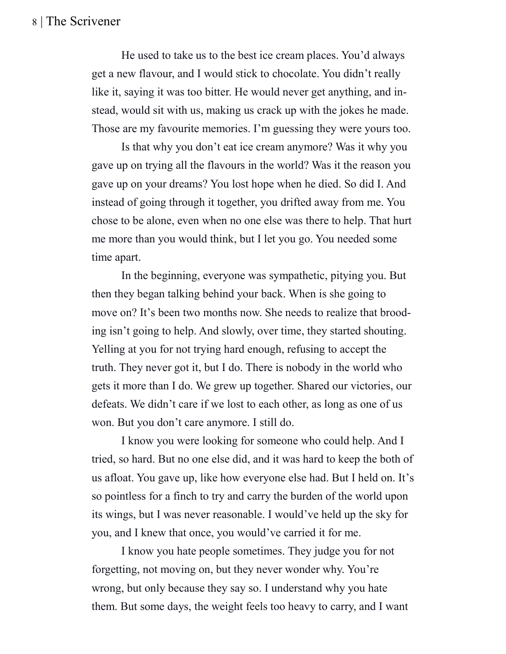He used to take us to the best ice cream places. You'd always get a new flavour, and I would stick to chocolate. You didn't really like it, saying it was too bitter. He would never get anything, and instead, would sit with us, making us crack up with the jokes he made. Those are my favourite memories. I'm guessing they were yours too.

Is that why you don't eat ice cream anymore? Was it why you gave up on trying all the flavours in the world? Was it the reason you gave up on your dreams? You lost hope when he died. So did I. And instead of going through it together, you drifted away from me. You chose to be alone, even when no one else was there to help. That hurt me more than you would think, but I let you go. You needed some time apart.

In the beginning, everyone was sympathetic, pitying you. But then they began talking behind your back. When is she going to move on? It's been two months now. She needs to realize that brooding isn't going to help. And slowly, over time, they started shouting. Yelling at you for not trying hard enough, refusing to accept the truth. They never got it, but I do. There is nobody in the world who gets it more than I do. We grew up together. Shared our victories, our defeats. We didn't care if we lost to each other, as long as one of us won. But you don't care anymore. I still do.

I know you were looking for someone who could help. And I tried, so hard. But no one else did, and it was hard to keep the both of us afloat. You gave up, like how everyone else had. But I held on. It's so pointless for a finch to try and carry the burden of the world upon its wings, but I was never reasonable. I would've held up the sky for you, and I knew that once, you would've carried it for me.

I know you hate people sometimes. They judge you for not forgetting, not moving on, but they never wonder why. You're wrong, but only because they say so. I understand why you hate them. But some days, the weight feels too heavy to carry, and I want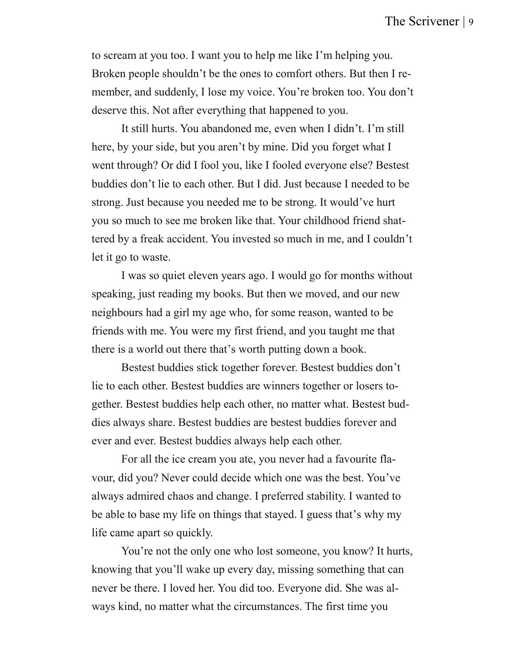to scream at you too. I want you to help me like I'm helping you. Broken people shouldn't be the ones to comfort others. But then I remember, and suddenly, I lose my voice. You're broken too. You don't deserve this. Not after everything that happened to you.

It still hurts. You abandoned me, even when I didn't. I'm still here, by your side, but you aren't by mine. Did you forget what I went through? Or did I fool you, like I fooled everyone else? Bestest buddies don't lie to each other. But I did. Just because I needed to be strong. Just because you needed me to be strong. It would've hurt you so much to see me broken like that. Your childhood friend shattered by a freak accident. You invested so much in me, and I couldn't let it go to waste.

I was so quiet eleven years ago. I would go for months without speaking, just reading my books. But then we moved, and our new neighbours had a girl my age who, for some reason, wanted to be friends with me. You were my first friend, and you taught me that there is a world out there that's worth putting down a book.

Bestest buddies stick together forever. Bestest buddies don't lie to each other. Bestest buddies are winners together or losers together. Bestest buddies help each other, no matter what. Bestest buddies always share. Bestest buddies are bestest buddies forever and ever and ever. Bestest buddies always help each other.

For all the ice cream you ate, you never had a favourite flavour, did you? Never could decide which one was the best. You've always admired chaos and change. I preferred stability. I wanted to be able to base my life on things that stayed. I guess that's why my life came apart so quickly.

You're not the only one who lost someone, you know? It hurts, knowing that you'll wake up every day, missing something that can never be there. I loved her. You did too. Everyone did. She was always kind, no matter what the circumstances. The first time you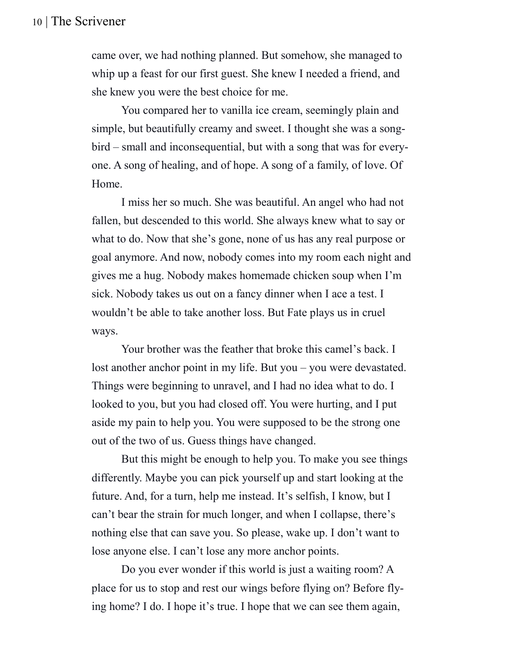came over, we had nothing planned. But somehow, she managed to whip up a feast for our first guest. She knew I needed a friend, and she knew you were the best choice for me.

You compared her to vanilla ice cream, seemingly plain and simple, but beautifully creamy and sweet. I thought she was a songbird – small and inconsequential, but with a song that was for everyone. A song of healing, and of hope. A song of a family, of love. Of Home.

I miss her so much. She was beautiful. An angel who had not fallen, but descended to this world. She always knew what to say or what to do. Now that she's gone, none of us has any real purpose or goal anymore. And now, nobody comes into my room each night and gives me a hug. Nobody makes homemade chicken soup when I'm sick. Nobody takes us out on a fancy dinner when I ace a test. I wouldn't be able to take another loss. But Fate plays us in cruel ways.

Your brother was the feather that broke this camel's back. I lost another anchor point in my life. But you – you were devastated. Things were beginning to unravel, and I had no idea what to do. I looked to you, but you had closed off. You were hurting, and I put aside my pain to help you. You were supposed to be the strong one out of the two of us. Guess things have changed.

But this might be enough to help you. To make you see things differently. Maybe you can pick yourself up and start looking at the future. And, for a turn, help me instead. It's selfish, I know, but I can't bear the strain for much longer, and when I collapse, there's nothing else that can save you. So please, wake up. I don't want to lose anyone else. I can't lose any more anchor points.

Do you ever wonder if this world is just a waiting room? A place for us to stop and rest our wings before flying on? Before flying home? I do. I hope it's true. I hope that we can see them again,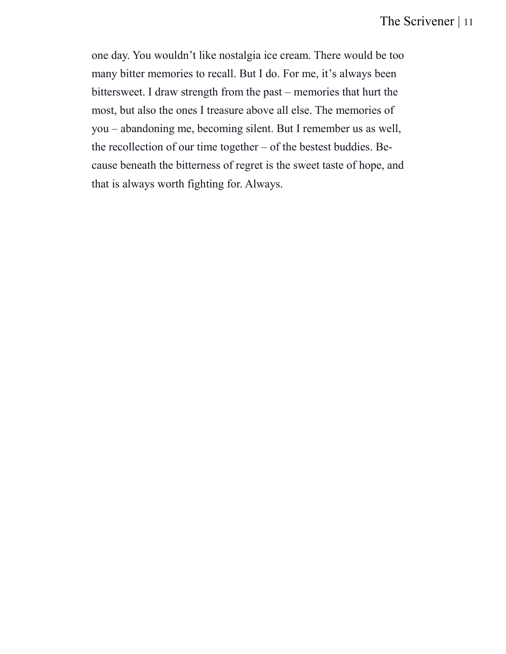one day. You wouldn't like nostalgia ice cream. There would be too many bitter memories to recall. But I do. For me, it's always been bittersweet. I draw strength from the past – memories that hurt the most, but also the ones I treasure above all else. The memories of you – abandoning me, becoming silent. But I remember us as well, the recollection of our time together – of the bestest buddies. Because beneath the bitterness of regret is the sweet taste of hope, and that is always worth fighting for. Always.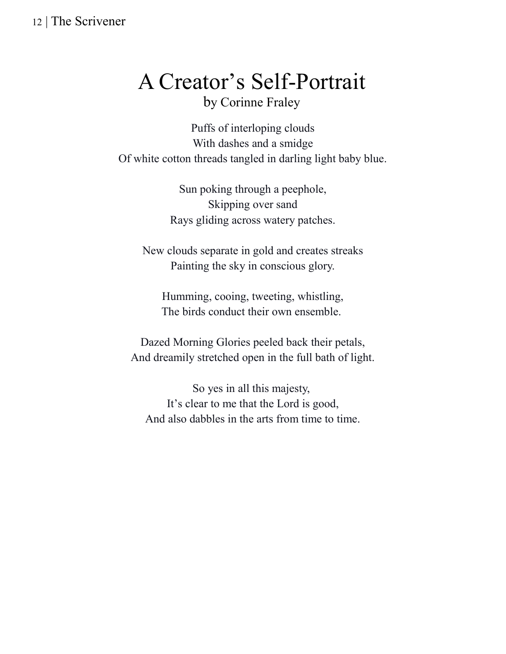# A Creator's Self-Portrait

by Corinne Fraley

Puffs of interloping clouds With dashes and a smidge Of white cotton threads tangled in darling light baby blue.

> Sun poking through a peephole, Skipping over sand Rays gliding across watery patches.

New clouds separate in gold and creates streaks Painting the sky in conscious glory.

Humming, cooing, tweeting, whistling, The birds conduct their own ensemble.

Dazed Morning Glories peeled back their petals, And dreamily stretched open in the full bath of light.

So yes in all this majesty, It's clear to me that the Lord is good, And also dabbles in the arts from time to time.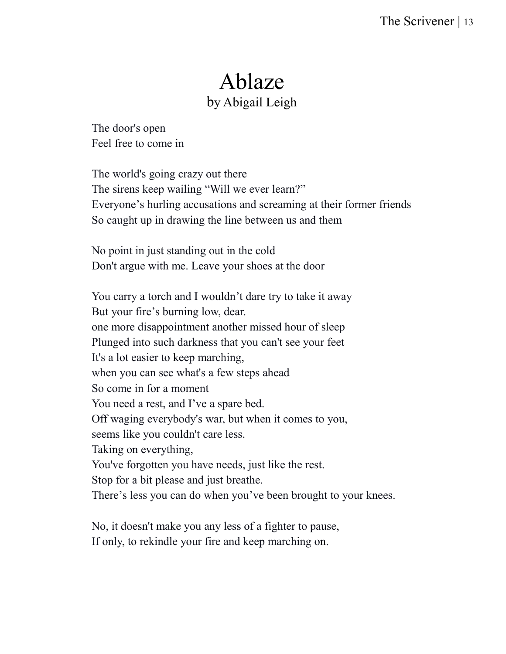### Ablaze by Abigail Leigh

The door's open Feel free to come in

The world's going crazy out there The sirens keep wailing "Will we ever learn?" Everyone's hurling accusations and screaming at their former friends So caught up in drawing the line between us and them

No point in just standing out in the cold Don't argue with me. Leave your shoes at the door

You carry a torch and I wouldn't dare try to take it away But your fire's burning low, dear. one more disappointment another missed hour of sleep Plunged into such darkness that you can't see your feet It's a lot easier to keep marching, when you can see what's a few steps ahead So come in for a moment You need a rest, and I've a spare bed. Off waging everybody's war, but when it comes to you, seems like you couldn't care less. Taking on everything, You've forgotten you have needs, just like the rest. Stop for a bit please and just breathe. There's less you can do when you've been brought to your knees.

No, it doesn't make you any less of a fighter to pause, If only, to rekindle your fire and keep marching on.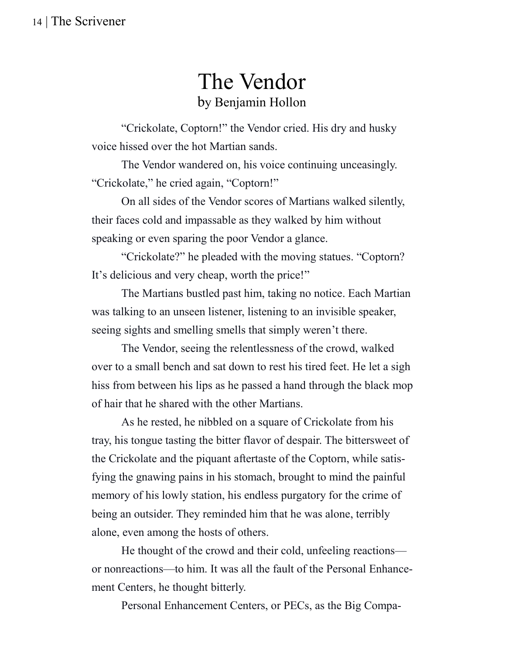### The Vendor by Benjamin Hollon

"Crickolate, Coptorn!" the Vendor cried. His dry and husky voice hissed over the hot Martian sands.

The Vendor wandered on, his voice continuing unceasingly. "Crickolate," he cried again, "Coptorn!"

On all sides of the Vendor scores of Martians walked silently, their faces cold and impassable as they walked by him without speaking or even sparing the poor Vendor a glance.

"Crickolate?" he pleaded with the moving statues. "Coptorn? It's delicious and very cheap, worth the price!"

The Martians bustled past him, taking no notice. Each Martian was talking to an unseen listener, listening to an invisible speaker, seeing sights and smelling smells that simply weren't there.

The Vendor, seeing the relentlessness of the crowd, walked over to a small bench and sat down to rest his tired feet. He let a sigh hiss from between his lips as he passed a hand through the black mop of hair that he shared with the other Martians.

As he rested, he nibbled on a square of Crickolate from his tray, his tongue tasting the bitter flavor of despair. The bittersweet of the Crickolate and the piquant aftertaste of the Coptorn, while satisfying the gnawing pains in his stomach, brought to mind the painful memory of his lowly station, his endless purgatory for the crime of being an outsider. They reminded him that he was alone, terribly alone, even among the hosts of others.

He thought of the crowd and their cold, unfeeling reactions or nonreactions—to him. It was all the fault of the Personal Enhancement Centers, he thought bitterly.

Personal Enhancement Centers, or PECs, as the Big Compa-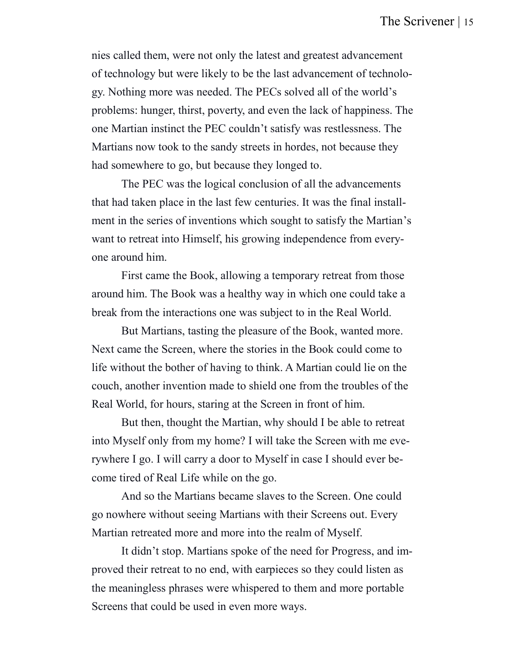nies called them, were not only the latest and greatest advancement of technology but were likely to be the last advancement of technology. Nothing more was needed. The PECs solved all of the world's problems: hunger, thirst, poverty, and even the lack of happiness. The one Martian instinct the PEC couldn't satisfy was restlessness. The Martians now took to the sandy streets in hordes, not because they had somewhere to go, but because they longed to.

The PEC was the logical conclusion of all the advancements that had taken place in the last few centuries. It was the final installment in the series of inventions which sought to satisfy the Martian's want to retreat into Himself, his growing independence from everyone around him.

First came the Book, allowing a temporary retreat from those around him. The Book was a healthy way in which one could take a break from the interactions one was subject to in the Real World.

But Martians, tasting the pleasure of the Book, wanted more. Next came the Screen, where the stories in the Book could come to life without the bother of having to think. A Martian could lie on the couch, another invention made to shield one from the troubles of the Real World, for hours, staring at the Screen in front of him.

But then, thought the Martian, why should I be able to retreat into Myself only from my home? I will take the Screen with me everywhere I go. I will carry a door to Myself in case I should ever become tired of Real Life while on the go.

And so the Martians became slaves to the Screen. One could go nowhere without seeing Martians with their Screens out. Every Martian retreated more and more into the realm of Myself.

It didn't stop. Martians spoke of the need for Progress, and improved their retreat to no end, with earpieces so they could listen as the meaningless phrases were whispered to them and more portable Screens that could be used in even more ways.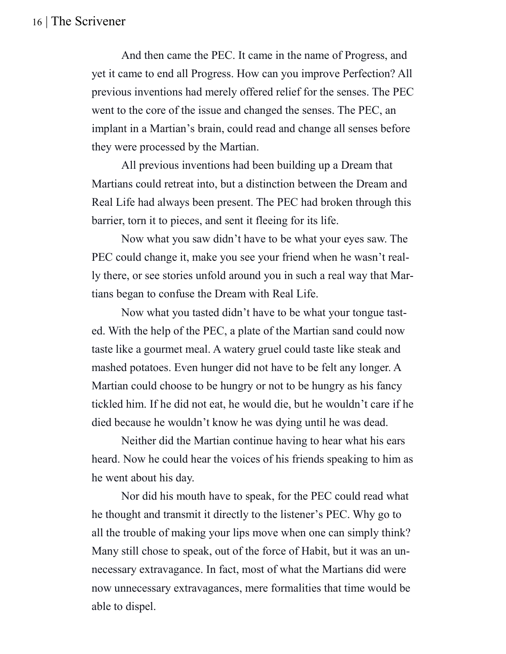And then came the PEC. It came in the name of Progress, and yet it came to end all Progress. How can you improve Perfection? All previous inventions had merely offered relief for the senses. The PEC went to the core of the issue and changed the senses. The PEC, an implant in a Martian's brain, could read and change all senses before they were processed by the Martian.

All previous inventions had been building up a Dream that Martians could retreat into, but a distinction between the Dream and Real Life had always been present. The PEC had broken through this barrier, torn it to pieces, and sent it fleeing for its life.

Now what you saw didn't have to be what your eyes saw. The PEC could change it, make you see your friend when he wasn't really there, or see stories unfold around you in such a real way that Martians began to confuse the Dream with Real Life.

Now what you tasted didn't have to be what your tongue tasted. With the help of the PEC, a plate of the Martian sand could now taste like a gourmet meal. A watery gruel could taste like steak and mashed potatoes. Even hunger did not have to be felt any longer. A Martian could choose to be hungry or not to be hungry as his fancy tickled him. If he did not eat, he would die, but he wouldn't care if he died because he wouldn't know he was dying until he was dead.

Neither did the Martian continue having to hear what his ears heard. Now he could hear the voices of his friends speaking to him as he went about his day.

Nor did his mouth have to speak, for the PEC could read what he thought and transmit it directly to the listener's PEC. Why go to all the trouble of making your lips move when one can simply think? Many still chose to speak, out of the force of Habit, but it was an unnecessary extravagance. In fact, most of what the Martians did were now unnecessary extravagances, mere formalities that time would be able to dispel.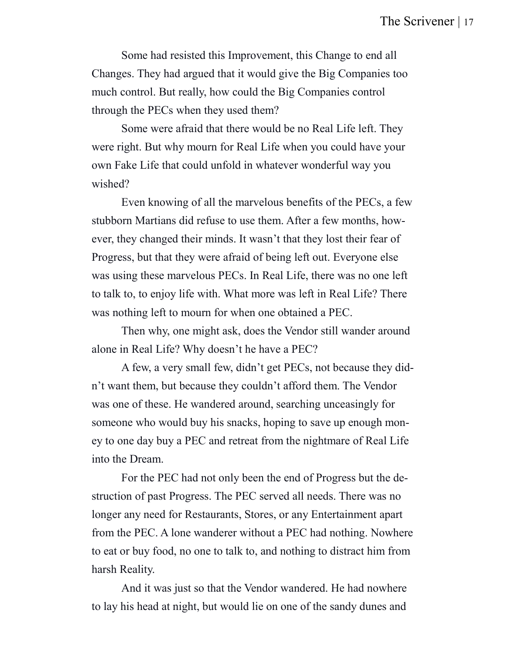Some had resisted this Improvement, this Change to end all Changes. They had argued that it would give the Big Companies too much control. But really, how could the Big Companies control through the PECs when they used them?

Some were afraid that there would be no Real Life left. They were right. But why mourn for Real Life when you could have your own Fake Life that could unfold in whatever wonderful way you wished?

Even knowing of all the marvelous benefits of the PECs, a few stubborn Martians did refuse to use them. After a few months, however, they changed their minds. It wasn't that they lost their fear of Progress, but that they were afraid of being left out. Everyone else was using these marvelous PECs. In Real Life, there was no one left to talk to, to enjoy life with. What more was left in Real Life? There was nothing left to mourn for when one obtained a PEC.

Then why, one might ask, does the Vendor still wander around alone in Real Life? Why doesn't he have a PEC?

A few, a very small few, didn't get PECs, not because they didn't want them, but because they couldn't afford them. The Vendor was one of these. He wandered around, searching unceasingly for someone who would buy his snacks, hoping to save up enough money to one day buy a PEC and retreat from the nightmare of Real Life into the Dream.

For the PEC had not only been the end of Progress but the destruction of past Progress. The PEC served all needs. There was no longer any need for Restaurants, Stores, or any Entertainment apart from the PEC. A lone wanderer without a PEC had nothing. Nowhere to eat or buy food, no one to talk to, and nothing to distract him from harsh Reality.

And it was just so that the Vendor wandered. He had nowhere to lay his head at night, but would lie on one of the sandy dunes and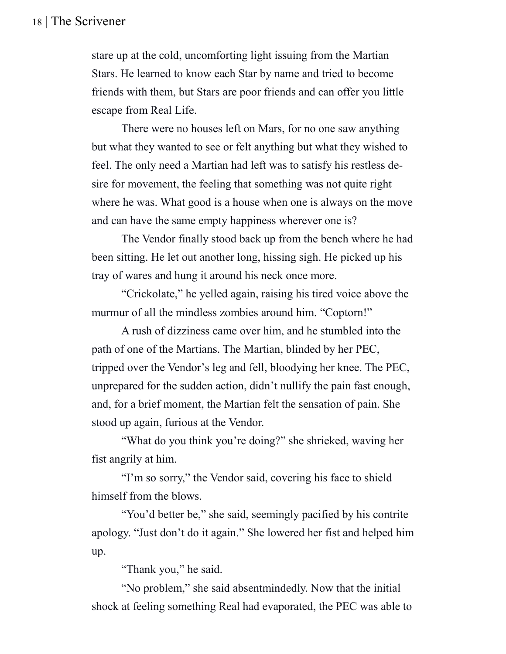stare up at the cold, uncomforting light issuing from the Martian Stars. He learned to know each Star by name and tried to become friends with them, but Stars are poor friends and can offer you little escape from Real Life.

There were no houses left on Mars, for no one saw anything but what they wanted to see or felt anything but what they wished to feel. The only need a Martian had left was to satisfy his restless desire for movement, the feeling that something was not quite right where he was. What good is a house when one is always on the move and can have the same empty happiness wherever one is?

The Vendor finally stood back up from the bench where he had been sitting. He let out another long, hissing sigh. He picked up his tray of wares and hung it around his neck once more.

"Crickolate," he yelled again, raising his tired voice above the murmur of all the mindless zombies around him. "Coptorn!"

A rush of dizziness came over him, and he stumbled into the path of one of the Martians. The Martian, blinded by her PEC, tripped over the Vendor's leg and fell, bloodying her knee. The PEC, unprepared for the sudden action, didn't nullify the pain fast enough, and, for a brief moment, the Martian felt the sensation of pain. She stood up again, furious at the Vendor.

"What do you think you're doing?" she shrieked, waving her fist angrily at him.

"I'm so sorry," the Vendor said, covering his face to shield himself from the blows.

"You'd better be," she said, seemingly pacified by his contrite apology. "Just don't do it again." She lowered her fist and helped him up.

"Thank you," he said.

"No problem," she said absentmindedly. Now that the initial shock at feeling something Real had evaporated, the PEC was able to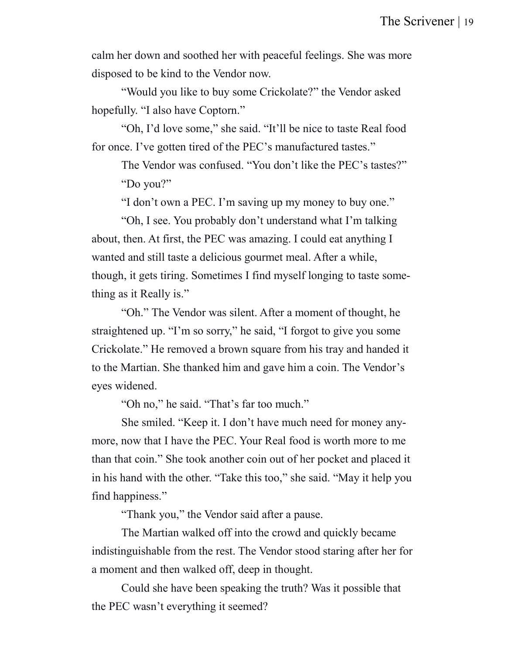calm her down and soothed her with peaceful feelings. She was more disposed to be kind to the Vendor now.

"Would you like to buy some Crickolate?" the Vendor asked hopefully. "I also have Coptorn."

"Oh, I'd love some," she said. "It'll be nice to taste Real food for once. I've gotten tired of the PEC's manufactured tastes."

The Vendor was confused. "You don't like the PEC's tastes?" "Do you?"

"I don't own a PEC. I'm saving up my money to buy one."

"Oh, I see. You probably don't understand what I'm talking about, then. At first, the PEC was amazing. I could eat anything I wanted and still taste a delicious gourmet meal. After a while, though, it gets tiring. Sometimes I find myself longing to taste something as it Really is."

"Oh." The Vendor was silent. After a moment of thought, he straightened up. "I'm so sorry," he said, "I forgot to give you some Crickolate." He removed a brown square from his tray and handed it to the Martian. She thanked him and gave him a coin. The Vendor's eyes widened.

"Oh no," he said. "That's far too much."

She smiled. "Keep it. I don't have much need for money anymore, now that I have the PEC. Your Real food is worth more to me than that coin." She took another coin out of her pocket and placed it in his hand with the other. "Take this too," she said. "May it help you find happiness."

"Thank you," the Vendor said after a pause.

The Martian walked off into the crowd and quickly became indistinguishable from the rest. The Vendor stood staring after her for a moment and then walked off, deep in thought.

Could she have been speaking the truth? Was it possible that the PEC wasn't everything it seemed?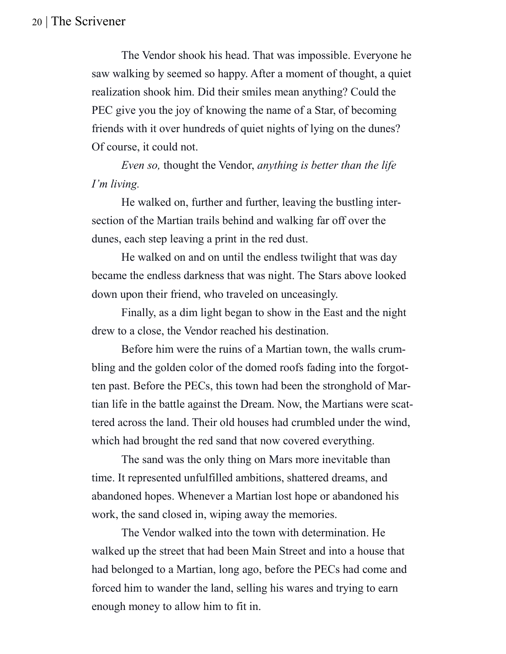The Vendor shook his head. That was impossible. Everyone he saw walking by seemed so happy. After a moment of thought, a quiet realization shook him. Did their smiles mean anything? Could the PEC give you the joy of knowing the name of a Star, of becoming friends with it over hundreds of quiet nights of lying on the dunes? Of course, it could not.

*Even so,* thought the Vendor, *anything is better than the life I'm living.*

He walked on, further and further, leaving the bustling intersection of the Martian trails behind and walking far off over the dunes, each step leaving a print in the red dust.

He walked on and on until the endless twilight that was day became the endless darkness that was night. The Stars above looked down upon their friend, who traveled on unceasingly.

Finally, as a dim light began to show in the East and the night drew to a close, the Vendor reached his destination.

Before him were the ruins of a Martian town, the walls crumbling and the golden color of the domed roofs fading into the forgotten past. Before the PECs, this town had been the stronghold of Martian life in the battle against the Dream. Now, the Martians were scattered across the land. Their old houses had crumbled under the wind, which had brought the red sand that now covered everything.

The sand was the only thing on Mars more inevitable than time. It represented unfulfilled ambitions, shattered dreams, and abandoned hopes. Whenever a Martian lost hope or abandoned his work, the sand closed in, wiping away the memories.

The Vendor walked into the town with determination. He walked up the street that had been Main Street and into a house that had belonged to a Martian, long ago, before the PECs had come and forced him to wander the land, selling his wares and trying to earn enough money to allow him to fit in.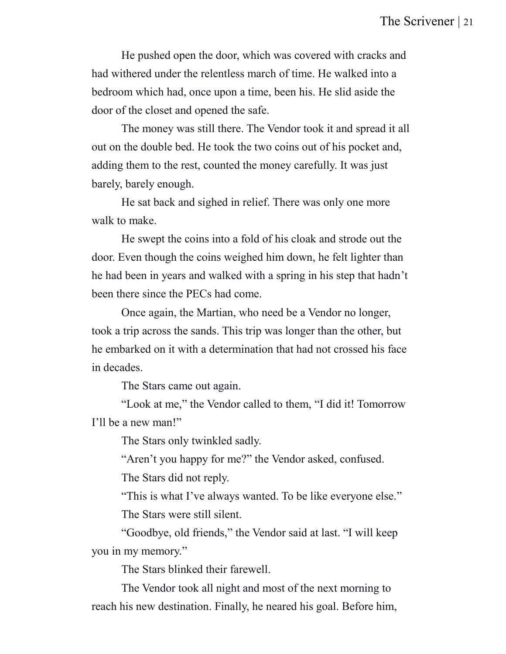He pushed open the door, which was covered with cracks and had withered under the relentless march of time. He walked into a bedroom which had, once upon a time, been his. He slid aside the door of the closet and opened the safe.

The money was still there. The Vendor took it and spread it all out on the double bed. He took the two coins out of his pocket and, adding them to the rest, counted the money carefully. It was just barely, barely enough.

He sat back and sighed in relief. There was only one more walk to make.

He swept the coins into a fold of his cloak and strode out the door. Even though the coins weighed him down, he felt lighter than he had been in years and walked with a spring in his step that hadn't been there since the PECs had come.

Once again, the Martian, who need be a Vendor no longer, took a trip across the sands. This trip was longer than the other, but he embarked on it with a determination that had not crossed his face in decades.

The Stars came out again.

"Look at me," the Vendor called to them, "I did it! Tomorrow I'll be a new man!"

The Stars only twinkled sadly.

"Aren't you happy for me?" the Vendor asked, confused.

The Stars did not reply.

"This is what I've always wanted. To be like everyone else." The Stars were still silent.

"Goodbye, old friends," the Vendor said at last. "I will keep you in my memory."

The Stars blinked their farewell.

The Vendor took all night and most of the next morning to reach his new destination. Finally, he neared his goal. Before him,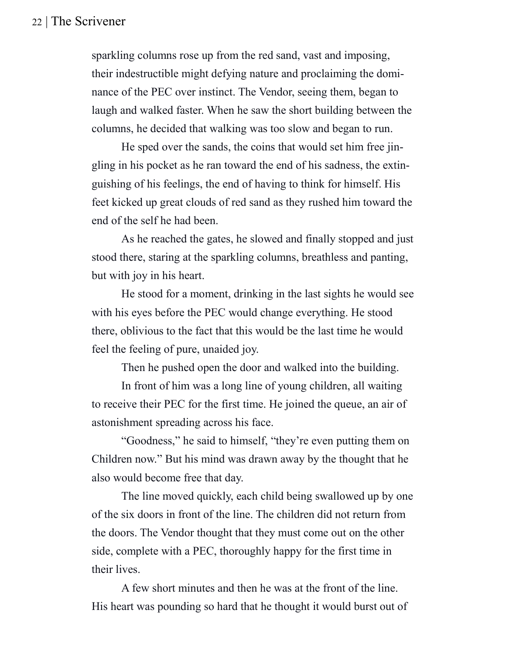sparkling columns rose up from the red sand, vast and imposing, their indestructible might defying nature and proclaiming the dominance of the PEC over instinct. The Vendor, seeing them, began to laugh and walked faster. When he saw the short building between the columns, he decided that walking was too slow and began to run.

He sped over the sands, the coins that would set him free jingling in his pocket as he ran toward the end of his sadness, the extinguishing of his feelings, the end of having to think for himself. His feet kicked up great clouds of red sand as they rushed him toward the end of the self he had been.

As he reached the gates, he slowed and finally stopped and just stood there, staring at the sparkling columns, breathless and panting, but with joy in his heart.

He stood for a moment, drinking in the last sights he would see with his eyes before the PEC would change everything. He stood there, oblivious to the fact that this would be the last time he would feel the feeling of pure, unaided joy.

Then he pushed open the door and walked into the building.

In front of him was a long line of young children, all waiting to receive their PEC for the first time. He joined the queue, an air of astonishment spreading across his face.

"Goodness," he said to himself, "they're even putting them on Children now." But his mind was drawn away by the thought that he also would become free that day.

The line moved quickly, each child being swallowed up by one of the six doors in front of the line. The children did not return from the doors. The Vendor thought that they must come out on the other side, complete with a PEC, thoroughly happy for the first time in their lives.

A few short minutes and then he was at the front of the line. His heart was pounding so hard that he thought it would burst out of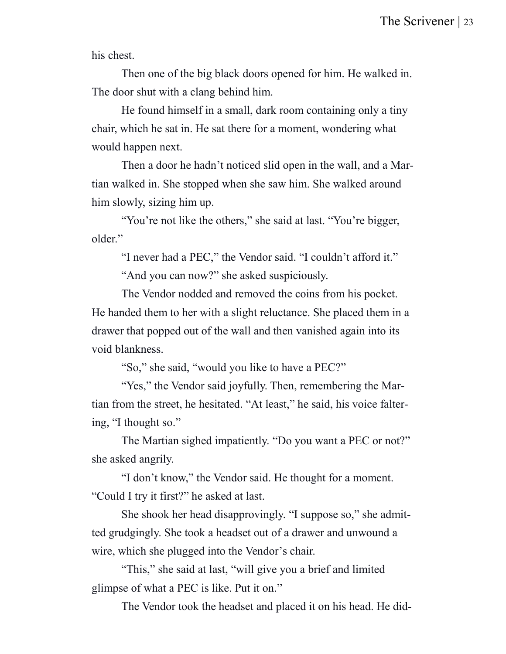his chest.

Then one of the big black doors opened for him. He walked in. The door shut with a clang behind him.

He found himself in a small, dark room containing only a tiny chair, which he sat in. He sat there for a moment, wondering what would happen next.

Then a door he hadn't noticed slid open in the wall, and a Martian walked in. She stopped when she saw him. She walked around him slowly, sizing him up.

"You're not like the others," she said at last. "You're bigger, older."

"I never had a PEC," the Vendor said. "I couldn't afford it." "And you can now?" she asked suspiciously.

The Vendor nodded and removed the coins from his pocket. He handed them to her with a slight reluctance. She placed them in a drawer that popped out of the wall and then vanished again into its void blankness.

"So," she said, "would you like to have a PEC?"

"Yes," the Vendor said joyfully. Then, remembering the Martian from the street, he hesitated. "At least," he said, his voice faltering, "I thought so."

The Martian sighed impatiently. "Do you want a PEC or not?" she asked angrily.

"I don't know," the Vendor said. He thought for a moment. "Could I try it first?" he asked at last.

She shook her head disapprovingly. "I suppose so," she admitted grudgingly. She took a headset out of a drawer and unwound a wire, which she plugged into the Vendor's chair.

"This," she said at last, "will give you a brief and limited glimpse of what a PEC is like. Put it on."

The Vendor took the headset and placed it on his head. He did-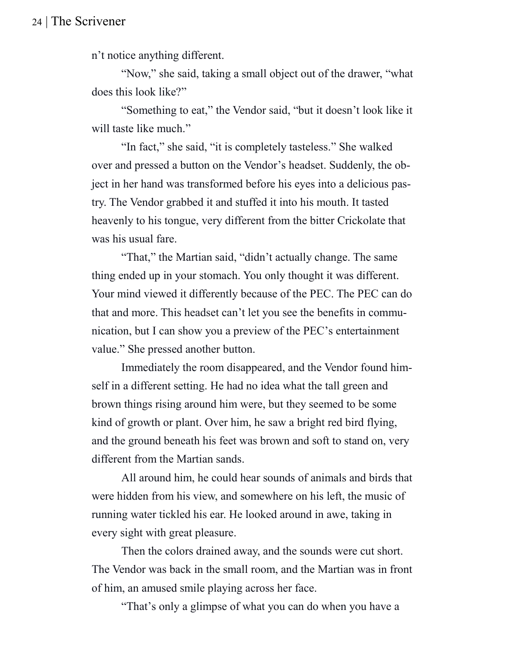n't notice anything different.

"Now," she said, taking a small object out of the drawer, "what does this look like?"

"Something to eat," the Vendor said, "but it doesn't look like it will taste like much."

"In fact," she said, "it is completely tasteless." She walked over and pressed a button on the Vendor's headset. Suddenly, the object in her hand was transformed before his eyes into a delicious pastry. The Vendor grabbed it and stuffed it into his mouth. It tasted heavenly to his tongue, very different from the bitter Crickolate that was his usual fare.

"That," the Martian said, "didn't actually change. The same thing ended up in your stomach. You only thought it was different. Your mind viewed it differently because of the PEC. The PEC can do that and more. This headset can't let you see the benefits in communication, but I can show you a preview of the PEC's entertainment value." She pressed another button.

Immediately the room disappeared, and the Vendor found himself in a different setting. He had no idea what the tall green and brown things rising around him were, but they seemed to be some kind of growth or plant. Over him, he saw a bright red bird flying, and the ground beneath his feet was brown and soft to stand on, very different from the Martian sands.

All around him, he could hear sounds of animals and birds that were hidden from his view, and somewhere on his left, the music of running water tickled his ear. He looked around in awe, taking in every sight with great pleasure.

Then the colors drained away, and the sounds were cut short. The Vendor was back in the small room, and the Martian was in front of him, an amused smile playing across her face.

"That's only a glimpse of what you can do when you have a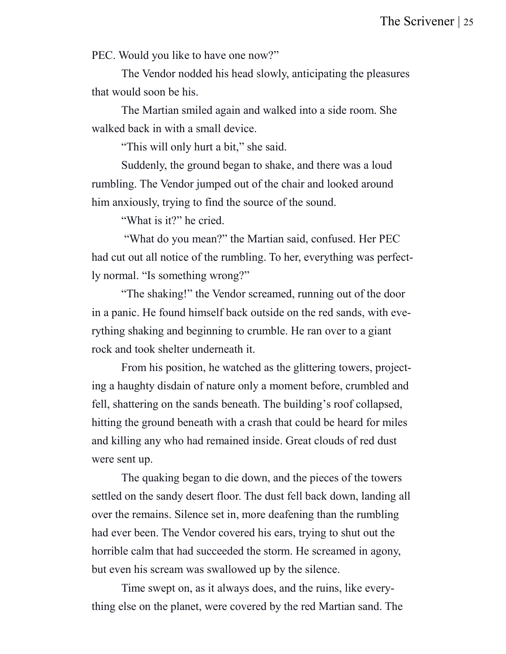PEC. Would you like to have one now?"

The Vendor nodded his head slowly, anticipating the pleasures that would soon be his.

The Martian smiled again and walked into a side room. She walked back in with a small device.

"This will only hurt a bit," she said.

Suddenly, the ground began to shake, and there was a loud rumbling. The Vendor jumped out of the chair and looked around him anxiously, trying to find the source of the sound.

"What is it?" he cried.

"What do you mean?" the Martian said, confused. Her PEC had cut out all notice of the rumbling. To her, everything was perfectly normal. "Is something wrong?"

"The shaking!" the Vendor screamed, running out of the door in a panic. He found himself back outside on the red sands, with everything shaking and beginning to crumble. He ran over to a giant rock and took shelter underneath it.

From his position, he watched as the glittering towers, projecting a haughty disdain of nature only a moment before, crumbled and fell, shattering on the sands beneath. The building's roof collapsed, hitting the ground beneath with a crash that could be heard for miles and killing any who had remained inside. Great clouds of red dust were sent up.

The quaking began to die down, and the pieces of the towers settled on the sandy desert floor. The dust fell back down, landing all over the remains. Silence set in, more deafening than the rumbling had ever been. The Vendor covered his ears, trying to shut out the horrible calm that had succeeded the storm. He screamed in agony, but even his scream was swallowed up by the silence.

Time swept on, as it always does, and the ruins, like everything else on the planet, were covered by the red Martian sand. The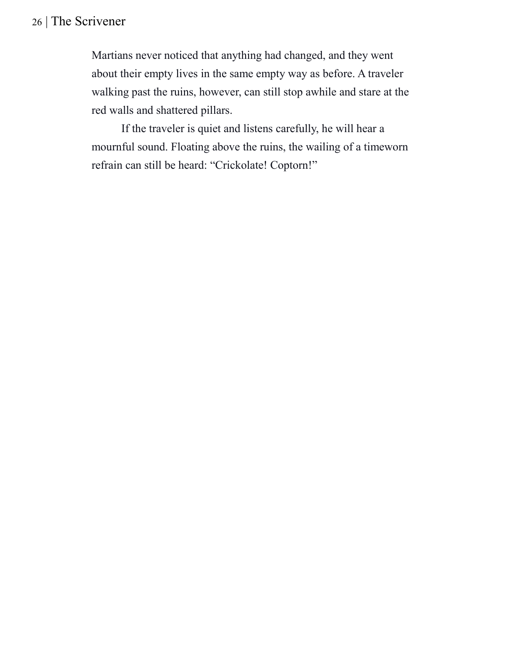Martians never noticed that anything had changed, and they went about their empty lives in the same empty way as before. A traveler walking past the ruins, however, can still stop awhile and stare at the red walls and shattered pillars.

If the traveler is quiet and listens carefully, he will hear a mournful sound. Floating above the ruins, the wailing of a timeworn refrain can still be heard: "Crickolate! Coptorn!"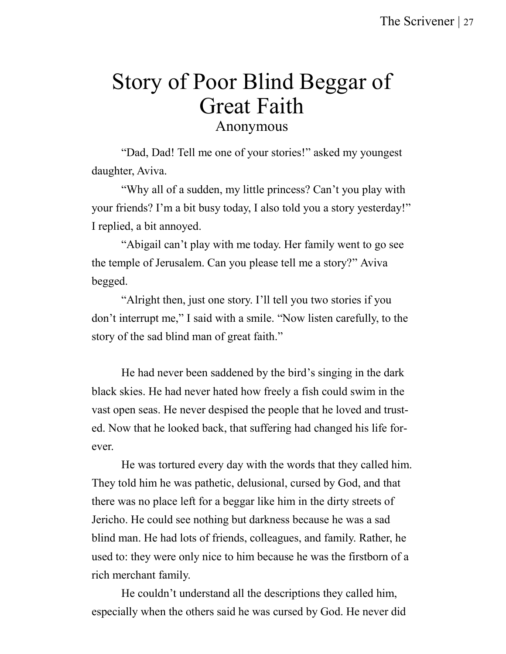# Story of Poor Blind Beggar of Great Faith

Anonymous

"Dad, Dad! Tell me one of your stories!" asked my youngest daughter, Aviva.

"Why all of a sudden, my little princess? Can't you play with your friends? I'm a bit busy today, I also told you a story yesterday!" I replied, a bit annoyed.

"Abigail can't play with me today. Her family went to go see the temple of Jerusalem. Can you please tell me a story?" Aviva begged.

"Alright then, just one story. I'll tell you two stories if you don't interrupt me," I said with a smile. "Now listen carefully, to the story of the sad blind man of great faith."

He had never been saddened by the bird's singing in the dark black skies. He had never hated how freely a fish could swim in the vast open seas. He never despised the people that he loved and trusted. Now that he looked back, that suffering had changed his life forever.

He was tortured every day with the words that they called him. They told him he was pathetic, delusional, cursed by God, and that there was no place left for a beggar like him in the dirty streets of Jericho. He could see nothing but darkness because he was a sad blind man. He had lots of friends, colleagues, and family. Rather, he used to: they were only nice to him because he was the firstborn of a rich merchant family.

He couldn't understand all the descriptions they called him, especially when the others said he was cursed by God. He never did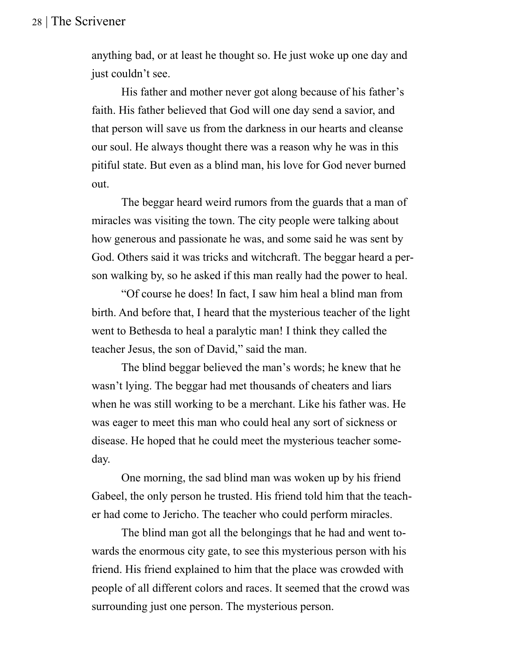anything bad, or at least he thought so. He just woke up one day and just couldn't see.

His father and mother never got along because of his father's faith. His father believed that God will one day send a savior, and that person will save us from the darkness in our hearts and cleanse our soul. He always thought there was a reason why he was in this pitiful state. But even as a blind man, his love for God never burned out.

The beggar heard weird rumors from the guards that a man of miracles was visiting the town. The city people were talking about how generous and passionate he was, and some said he was sent by God. Others said it was tricks and witchcraft. The beggar heard a person walking by, so he asked if this man really had the power to heal.

"Of course he does! In fact, I saw him heal a blind man from birth. And before that, I heard that the mysterious teacher of the light went to Bethesda to heal a paralytic man! I think they called the teacher Jesus, the son of David," said the man.

The blind beggar believed the man's words; he knew that he wasn't lying. The beggar had met thousands of cheaters and liars when he was still working to be a merchant. Like his father was. He was eager to meet this man who could heal any sort of sickness or disease. He hoped that he could meet the mysterious teacher someday.

One morning, the sad blind man was woken up by his friend Gabeel, the only person he trusted. His friend told him that the teacher had come to Jericho. The teacher who could perform miracles.

The blind man got all the belongings that he had and went towards the enormous city gate, to see this mysterious person with his friend. His friend explained to him that the place was crowded with people of all different colors and races. It seemed that the crowd was surrounding just one person. The mysterious person.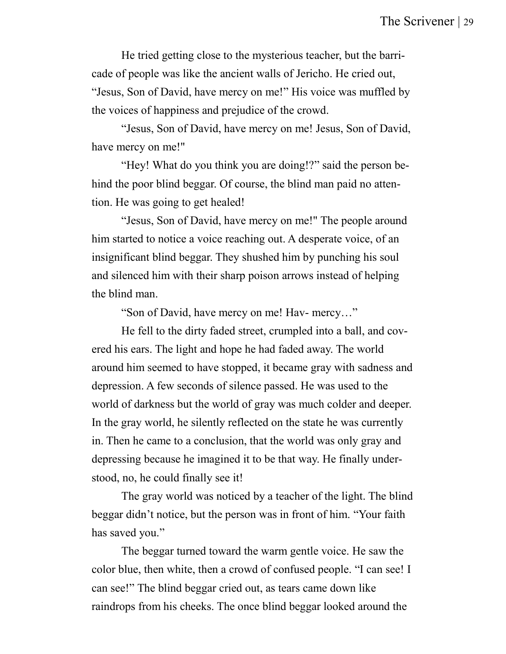He tried getting close to the mysterious teacher, but the barricade of people was like the ancient walls of Jericho. He cried out, "Jesus, Son of David, have mercy on me!" His voice was muffled by the voices of happiness and prejudice of the crowd.

"Jesus, Son of David, have mercy on me! Jesus, Son of David, have mercy on me!"

"Hey! What do you think you are doing!?" said the person behind the poor blind beggar. Of course, the blind man paid no attention. He was going to get healed!

"Jesus, Son of David, have mercy on me!" The people around him started to notice a voice reaching out. A desperate voice, of an insignificant blind beggar. They shushed him by punching his soul and silenced him with their sharp poison arrows instead of helping the blind man.

"Son of David, have mercy on me! Hav- mercy…"

He fell to the dirty faded street, crumpled into a ball, and covered his ears. The light and hope he had faded away. The world around him seemed to have stopped, it became gray with sadness and depression. A few seconds of silence passed. He was used to the world of darkness but the world of gray was much colder and deeper. In the gray world, he silently reflected on the state he was currently in. Then he came to a conclusion, that the world was only gray and depressing because he imagined it to be that way. He finally understood, no, he could finally see it!

The gray world was noticed by a teacher of the light. The blind beggar didn't notice, but the person was in front of him. "Your faith has saved you."

The beggar turned toward the warm gentle voice. He saw the color blue, then white, then a crowd of confused people. "I can see! I can see!" The blind beggar cried out, as tears came down like raindrops from his cheeks. The once blind beggar looked around the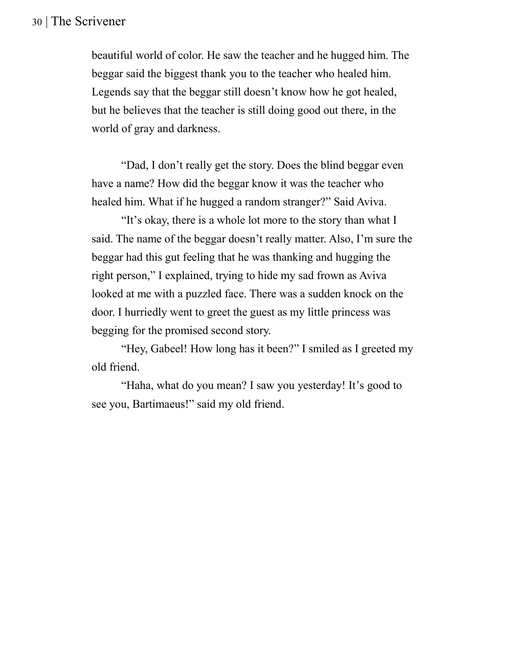beautiful world of color. He saw the teacher and he hugged him. The beggar said the biggest thank you to the teacher who healed him. Legends say that the beggar still doesn't know how he got healed, but he believes that the teacher is still doing good out there, in the world of gray and darkness.

"Dad, I don't really get the story. Does the blind beggar even have a name? How did the beggar know it was the teacher who healed him. What if he hugged a random stranger?" Said Aviva.

"It's okay, there is a whole lot more to the story than what I said. The name of the beggar doesn't really matter. Also, I'm sure the beggar had this gut feeling that he was thanking and hugging the right person," I explained, trying to hide my sad frown as Aviva looked at me with a puzzled face. There was a sudden knock on the door. I hurriedly went to greet the guest as my little princess was begging for the promised second story.

"Hey, Gabeel! How long has it been?" I smiled as I greeted my old friend.

"Haha, what do you mean? I saw you yesterday! It's good to see you, Bartimaeus!" said my old friend.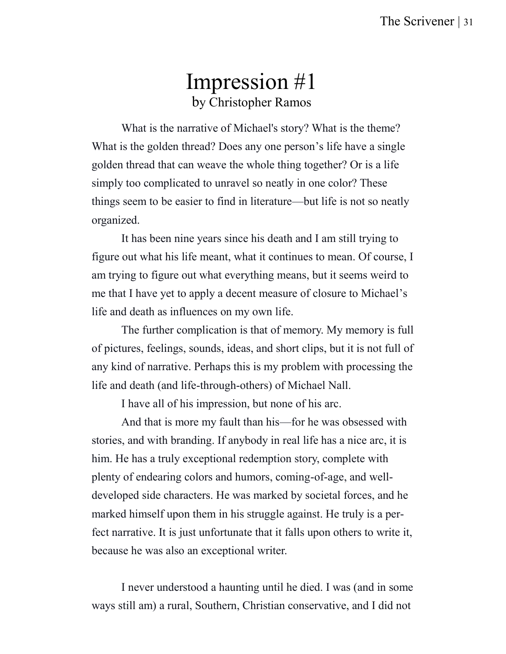### Impression #1 by Christopher Ramos

What is the narrative of Michael's story? What is the theme? What is the golden thread? Does any one person's life have a single golden thread that can weave the whole thing together? Or is a life simply too complicated to unravel so neatly in one color? These things seem to be easier to find in literature—but life is not so neatly organized.

It has been nine years since his death and I am still trying to figure out what his life meant, what it continues to mean. Of course, I am trying to figure out what everything means, but it seems weird to me that I have yet to apply a decent measure of closure to Michael's life and death as influences on my own life.

The further complication is that of memory. My memory is full of pictures, feelings, sounds, ideas, and short clips, but it is not full of any kind of narrative. Perhaps this is my problem with processing the life and death (and life-through-others) of Michael Nall.

I have all of his impression, but none of his arc.

And that is more my fault than his—for he was obsessed with stories, and with branding. If anybody in real life has a nice arc, it is him. He has a truly exceptional redemption story, complete with plenty of endearing colors and humors, coming-of-age, and welldeveloped side characters. He was marked by societal forces, and he marked himself upon them in his struggle against. He truly is a perfect narrative. It is just unfortunate that it falls upon others to write it, because he was also an exceptional writer.

I never understood a haunting until he died. I was (and in some ways still am) a rural, Southern, Christian conservative, and I did not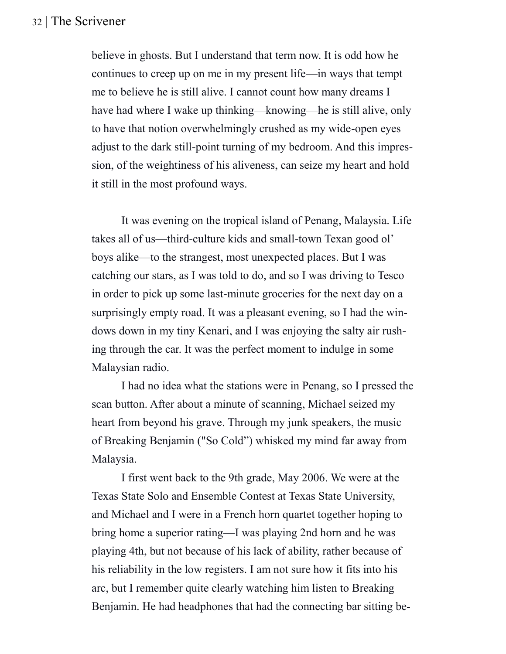believe in ghosts. But I understand that term now. It is odd how he continues to creep up on me in my present life—in ways that tempt me to believe he is still alive. I cannot count how many dreams I have had where I wake up thinking—knowing—he is still alive, only to have that notion overwhelmingly crushed as my wide-open eyes adjust to the dark still-point turning of my bedroom. And this impression, of the weightiness of his aliveness, can seize my heart and hold it still in the most profound ways.

It was evening on the tropical island of Penang, Malaysia. Life takes all of us—third-culture kids and small-town Texan good ol' boys alike—to the strangest, most unexpected places. But I was catching our stars, as I was told to do, and so I was driving to Tesco in order to pick up some last-minute groceries for the next day on a surprisingly empty road. It was a pleasant evening, so I had the windows down in my tiny Kenari, and I was enjoying the salty air rushing through the car. It was the perfect moment to indulge in some Malaysian radio.

I had no idea what the stations were in Penang, so I pressed the scan button. After about a minute of scanning, Michael seized my heart from beyond his grave. Through my junk speakers, the music of Breaking Benjamin ("So Cold") whisked my mind far away from Malaysia.

I first went back to the 9th grade, May 2006. We were at the Texas State Solo and Ensemble Contest at Texas State University, and Michael and I were in a French horn quartet together hoping to bring home a superior rating—I was playing 2nd horn and he was playing 4th, but not because of his lack of ability, rather because of his reliability in the low registers. I am not sure how it fits into his arc, but I remember quite clearly watching him listen to Breaking Benjamin. He had headphones that had the connecting bar sitting be-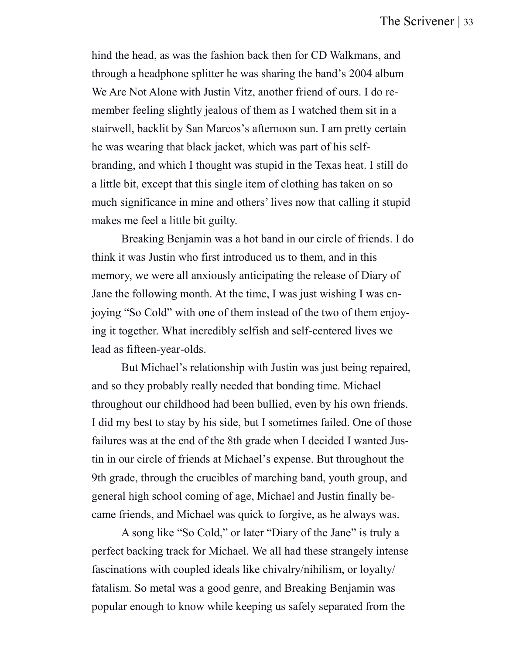hind the head, as was the fashion back then for CD Walkmans, and through a headphone splitter he was sharing the band's 2004 album We Are Not Alone with Justin Vitz, another friend of ours. I do remember feeling slightly jealous of them as I watched them sit in a stairwell, backlit by San Marcos's afternoon sun. I am pretty certain he was wearing that black jacket, which was part of his selfbranding, and which I thought was stupid in the Texas heat. I still do a little bit, except that this single item of clothing has taken on so much significance in mine and others' lives now that calling it stupid makes me feel a little bit guilty.

Breaking Benjamin was a hot band in our circle of friends. I do think it was Justin who first introduced us to them, and in this memory, we were all anxiously anticipating the release of Diary of Jane the following month. At the time, I was just wishing I was enjoying "So Cold" with one of them instead of the two of them enjoying it together. What incredibly selfish and self-centered lives we lead as fifteen-year-olds.

But Michael's relationship with Justin was just being repaired, and so they probably really needed that bonding time. Michael throughout our childhood had been bullied, even by his own friends. I did my best to stay by his side, but I sometimes failed. One of those failures was at the end of the 8th grade when I decided I wanted Justin in our circle of friends at Michael's expense. But throughout the 9th grade, through the crucibles of marching band, youth group, and general high school coming of age, Michael and Justin finally became friends, and Michael was quick to forgive, as he always was.

A song like "So Cold," or later "Diary of the Jane" is truly a perfect backing track for Michael. We all had these strangely intense fascinations with coupled ideals like chivalry/nihilism, or loyalty/ fatalism. So metal was a good genre, and Breaking Benjamin was popular enough to know while keeping us safely separated from the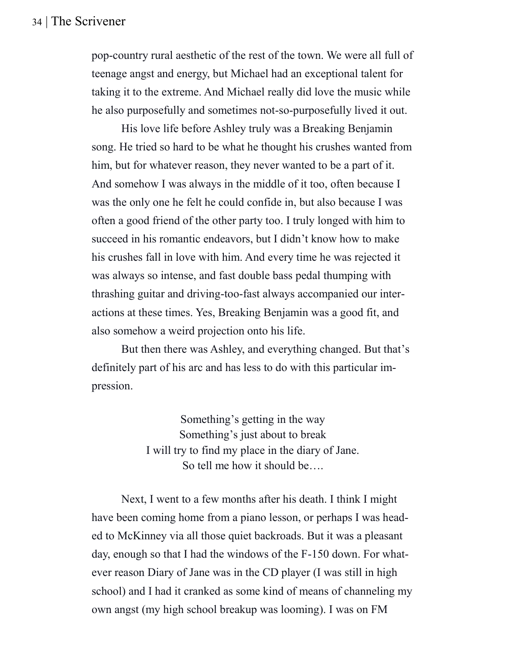pop-country rural aesthetic of the rest of the town. We were all full of teenage angst and energy, but Michael had an exceptional talent for taking it to the extreme. And Michael really did love the music while he also purposefully and sometimes not-so-purposefully lived it out.

His love life before Ashley truly was a Breaking Benjamin song. He tried so hard to be what he thought his crushes wanted from him, but for whatever reason, they never wanted to be a part of it. And somehow I was always in the middle of it too, often because I was the only one he felt he could confide in, but also because I was often a good friend of the other party too. I truly longed with him to succeed in his romantic endeavors, but I didn't know how to make his crushes fall in love with him. And every time he was rejected it was always so intense, and fast double bass pedal thumping with thrashing guitar and driving-too-fast always accompanied our interactions at these times. Yes, Breaking Benjamin was a good fit, and also somehow a weird projection onto his life.

But then there was Ashley, and everything changed. But that's definitely part of his arc and has less to do with this particular impression.

> Something's getting in the way Something's just about to break I will try to find my place in the diary of Jane. So tell me how it should be….

Next, I went to a few months after his death. I think I might have been coming home from a piano lesson, or perhaps I was headed to McKinney via all those quiet backroads. But it was a pleasant day, enough so that I had the windows of the F-150 down. For whatever reason Diary of Jane was in the CD player (I was still in high school) and I had it cranked as some kind of means of channeling my own angst (my high school breakup was looming). I was on FM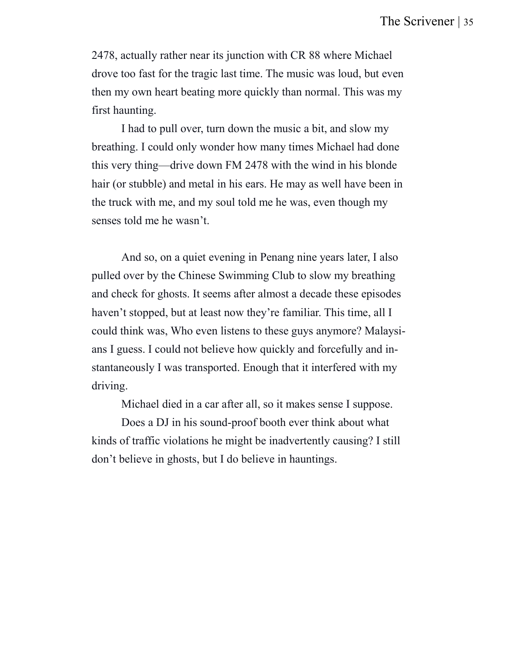2478, actually rather near its junction with CR 88 where Michael drove too fast for the tragic last time. The music was loud, but even then my own heart beating more quickly than normal. This was my first haunting.

I had to pull over, turn down the music a bit, and slow my breathing. I could only wonder how many times Michael had done this very thing—drive down FM 2478 with the wind in his blonde hair (or stubble) and metal in his ears. He may as well have been in the truck with me, and my soul told me he was, even though my senses told me he wasn't.

And so, on a quiet evening in Penang nine years later, I also pulled over by the Chinese Swimming Club to slow my breathing and check for ghosts. It seems after almost a decade these episodes haven't stopped, but at least now they're familiar. This time, all I could think was, Who even listens to these guys anymore? Malaysians I guess. I could not believe how quickly and forcefully and instantaneously I was transported. Enough that it interfered with my driving.

Michael died in a car after all, so it makes sense I suppose.

Does a DJ in his sound-proof booth ever think about what kinds of traffic violations he might be inadvertently causing? I still don't believe in ghosts, but I do believe in hauntings.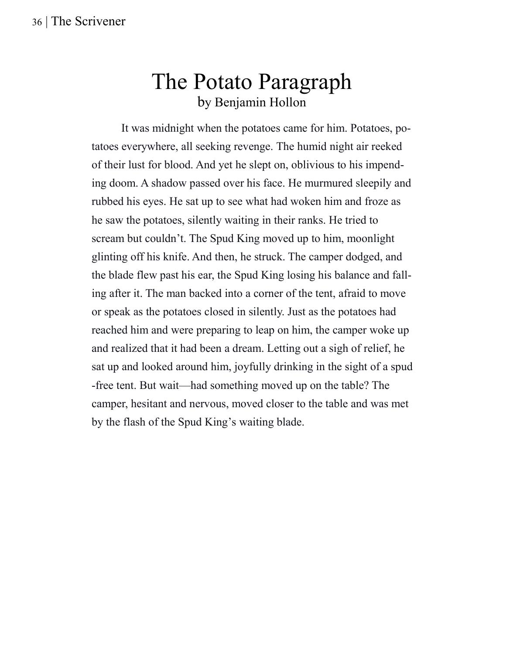### The Potato Paragraph by Benjamin Hollon

It was midnight when the potatoes came for him. Potatoes, potatoes everywhere, all seeking revenge. The humid night air reeked of their lust for blood. And yet he slept on, oblivious to his impending doom. A shadow passed over his face. He murmured sleepily and rubbed his eyes. He sat up to see what had woken him and froze as he saw the potatoes, silently waiting in their ranks. He tried to scream but couldn't. The Spud King moved up to him, moonlight glinting off his knife. And then, he struck. The camper dodged, and the blade flew past his ear, the Spud King losing his balance and falling after it. The man backed into a corner of the tent, afraid to move or speak as the potatoes closed in silently. Just as the potatoes had reached him and were preparing to leap on him, the camper woke up and realized that it had been a dream. Letting out a sigh of relief, he sat up and looked around him, joyfully drinking in the sight of a spud -free tent. But wait—had something moved up on the table? The camper, hesitant and nervous, moved closer to the table and was met by the flash of the Spud King's waiting blade.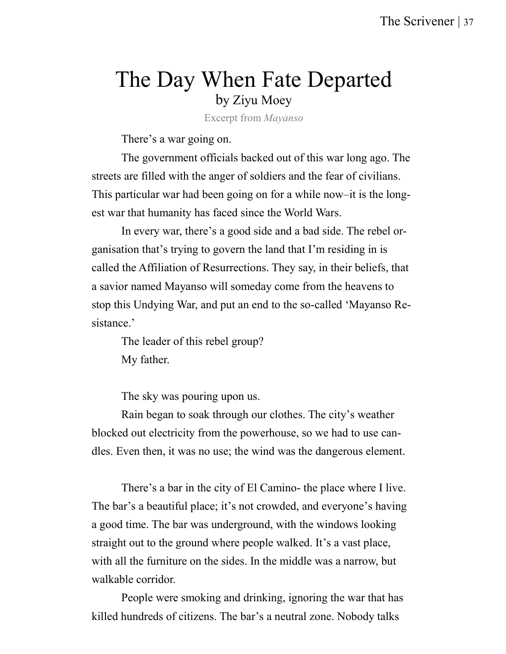### The Day When Fate Departed by Ziyu Moey

Excerpt from *Mayanso*

There's a war going on.

The government officials backed out of this war long ago. The streets are filled with the anger of soldiers and the fear of civilians. This particular war had been going on for a while now–it is the longest war that humanity has faced since the World Wars.

In every war, there's a good side and a bad side. The rebel organisation that's trying to govern the land that I'm residing in is called the Affiliation of Resurrections. They say, in their beliefs, that a savior named Mayanso will someday come from the heavens to stop this Undying War, and put an end to the so-called 'Mayanso Resistance.'

The leader of this rebel group? My father.

The sky was pouring upon us.

Rain began to soak through our clothes. The city's weather blocked out electricity from the powerhouse, so we had to use candles. Even then, it was no use; the wind was the dangerous element.

There's a bar in the city of El Camino- the place where I live. The bar's a beautiful place; it's not crowded, and everyone's having a good time. The bar was underground, with the windows looking straight out to the ground where people walked. It's a vast place, with all the furniture on the sides. In the middle was a narrow, but walkable corridor.

People were smoking and drinking, ignoring the war that has killed hundreds of citizens. The bar's a neutral zone. Nobody talks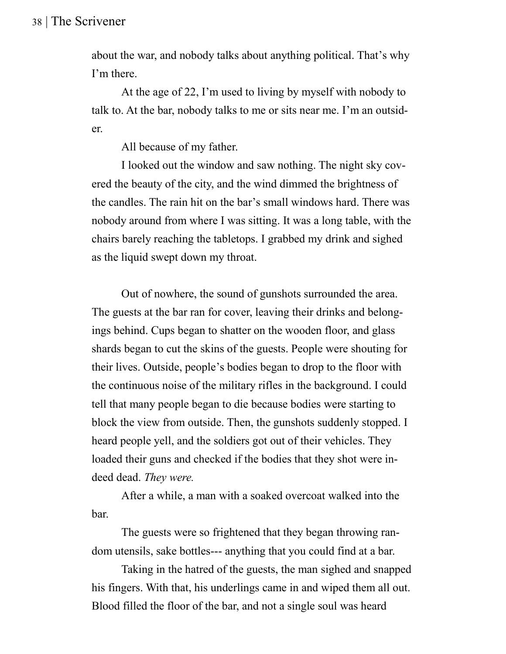about the war, and nobody talks about anything political. That's why I'm there.

At the age of 22, I'm used to living by myself with nobody to talk to. At the bar, nobody talks to me or sits near me. I'm an outsider.

All because of my father.

I looked out the window and saw nothing. The night sky covered the beauty of the city, and the wind dimmed the brightness of the candles. The rain hit on the bar's small windows hard. There was nobody around from where I was sitting. It was a long table, with the chairs barely reaching the tabletops. I grabbed my drink and sighed as the liquid swept down my throat.

Out of nowhere, the sound of gunshots surrounded the area. The guests at the bar ran for cover, leaving their drinks and belongings behind. Cups began to shatter on the wooden floor, and glass shards began to cut the skins of the guests. People were shouting for their lives. Outside, people's bodies began to drop to the floor with the continuous noise of the military rifles in the background. I could tell that many people began to die because bodies were starting to block the view from outside. Then, the gunshots suddenly stopped. I heard people yell, and the soldiers got out of their vehicles. They loaded their guns and checked if the bodies that they shot were indeed dead. *They were.*

After a while, a man with a soaked overcoat walked into the bar.

The guests were so frightened that they began throwing random utensils, sake bottles--- anything that you could find at a bar.

Taking in the hatred of the guests, the man sighed and snapped his fingers. With that, his underlings came in and wiped them all out. Blood filled the floor of the bar, and not a single soul was heard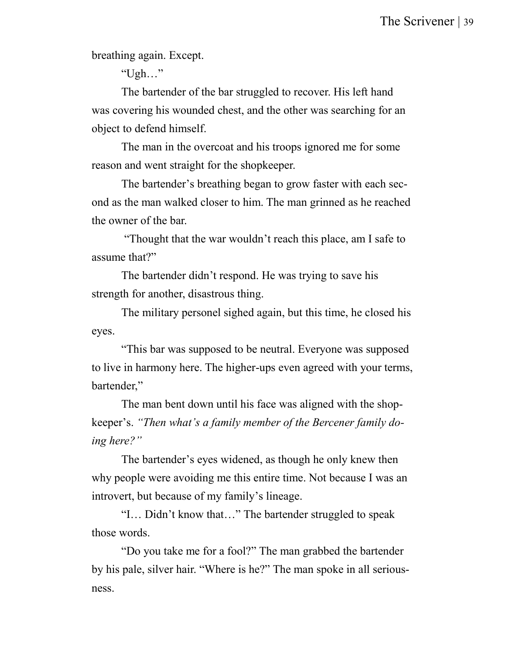breathing again. Except.

"Ugh…"

The bartender of the bar struggled to recover. His left hand was covering his wounded chest, and the other was searching for an object to defend himself.

The man in the overcoat and his troops ignored me for some reason and went straight for the shopkeeper.

The bartender's breathing began to grow faster with each second as the man walked closer to him. The man grinned as he reached the owner of the bar.

"Thought that the war wouldn't reach this place, am I safe to assume that?"

The bartender didn't respond. He was trying to save his strength for another, disastrous thing.

The military personel sighed again, but this time, he closed his eyes.

"This bar was supposed to be neutral. Everyone was supposed to live in harmony here. The higher-ups even agreed with your terms, bartender,"

The man bent down until his face was aligned with the shopkeeper's. *"Then what's a family member of the Bercener family doing here?"*

The bartender's eyes widened, as though he only knew then why people were avoiding me this entire time. Not because I was an introvert, but because of my family's lineage.

"I… Didn't know that…" The bartender struggled to speak those words.

"Do you take me for a fool?" The man grabbed the bartender by his pale, silver hair. "Where is he?" The man spoke in all seriousness.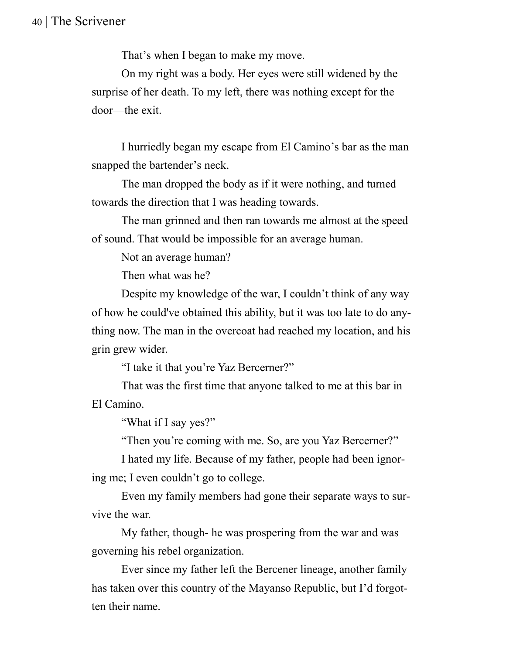That's when I began to make my move.

On my right was a body. Her eyes were still widened by the surprise of her death. To my left, there was nothing except for the door—the exit.

I hurriedly began my escape from El Camino's bar as the man snapped the bartender's neck.

The man dropped the body as if it were nothing, and turned towards the direction that I was heading towards.

The man grinned and then ran towards me almost at the speed of sound. That would be impossible for an average human.

Not an average human?

Then what was he?

Despite my knowledge of the war, I couldn't think of any way of how he could've obtained this ability, but it was too late to do anything now. The man in the overcoat had reached my location, and his grin grew wider.

"I take it that you're Yaz Bercerner?"

That was the first time that anyone talked to me at this bar in El Camino.

"What if I say yes?"

"Then you're coming with me. So, are you Yaz Bercerner?"

I hated my life. Because of my father, people had been ignoring me; I even couldn't go to college.

Even my family members had gone their separate ways to survive the war.

My father, though- he was prospering from the war and was governing his rebel organization.

Ever since my father left the Bercener lineage, another family has taken over this country of the Mayanso Republic, but I'd forgotten their name.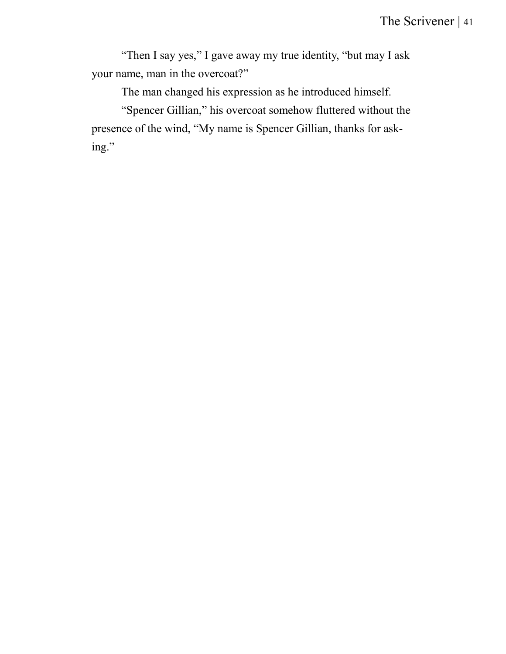"Then I say yes," I gave away my true identity, "but may I ask your name, man in the overcoat?"

The man changed his expression as he introduced himself.

"Spencer Gillian," his overcoat somehow fluttered without the presence of the wind, "My name is Spencer Gillian, thanks for asking."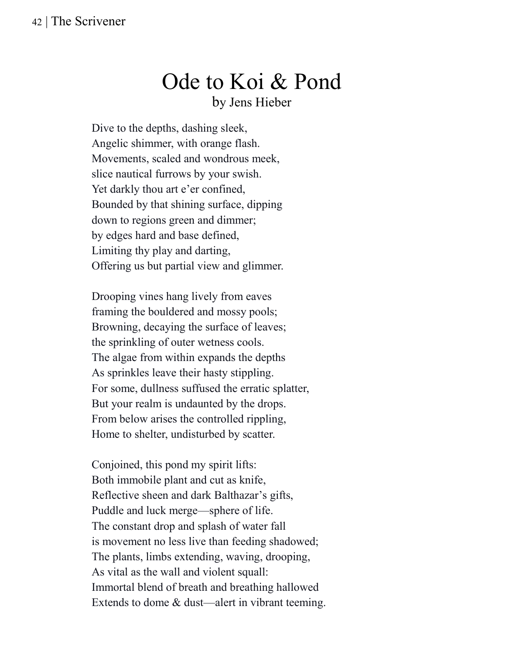### Ode to Koi & Pond by Jens Hieber

Dive to the depths, dashing sleek, Angelic shimmer, with orange flash. Movements, scaled and wondrous meek, slice nautical furrows by your swish. Yet darkly thou art e'er confined, Bounded by that shining surface, dipping down to regions green and dimmer; by edges hard and base defined, Limiting thy play and darting, Offering us but partial view and glimmer.

Drooping vines hang lively from eaves framing the bouldered and mossy pools; Browning, decaying the surface of leaves; the sprinkling of outer wetness cools. The algae from within expands the depths As sprinkles leave their hasty stippling. For some, dullness suffused the erratic splatter, But your realm is undaunted by the drops. From below arises the controlled rippling, Home to shelter, undisturbed by scatter.

Conjoined, this pond my spirit lifts: Both immobile plant and cut as knife, Reflective sheen and dark Balthazar's gifts, Puddle and luck merge—sphere of life. The constant drop and splash of water fall is movement no less live than feeding shadowed; The plants, limbs extending, waving, drooping, As vital as the wall and violent squall: Immortal blend of breath and breathing hallowed Extends to dome & dust—alert in vibrant teeming.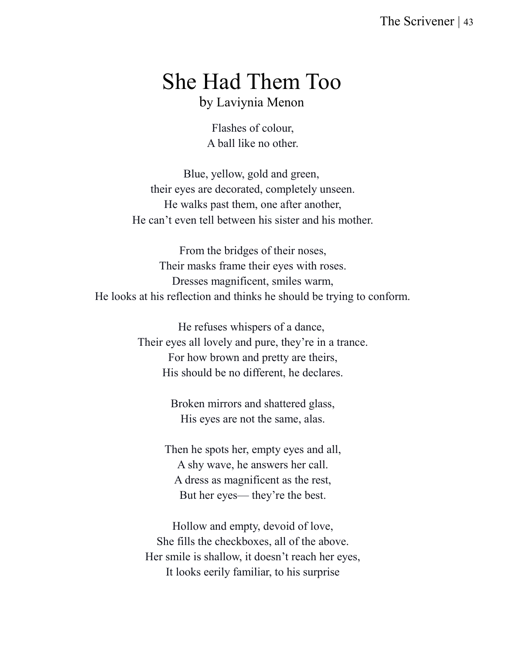### She Had Them Too by Laviynia Menon

Flashes of colour, A ball like no other.

Blue, yellow, gold and green, their eyes are decorated, completely unseen. He walks past them, one after another, He can't even tell between his sister and his mother.

From the bridges of their noses, Their masks frame their eyes with roses. Dresses magnificent, smiles warm, He looks at his reflection and thinks he should be trying to conform.

> He refuses whispers of a dance, Their eyes all lovely and pure, they're in a trance. For how brown and pretty are theirs, His should be no different, he declares.

> > Broken mirrors and shattered glass, His eyes are not the same, alas.

Then he spots her, empty eyes and all, A shy wave, he answers her call. A dress as magnificent as the rest, But her eyes— they're the best.

Hollow and empty, devoid of love, She fills the checkboxes, all of the above. Her smile is shallow, it doesn't reach her eyes, It looks eerily familiar, to his surprise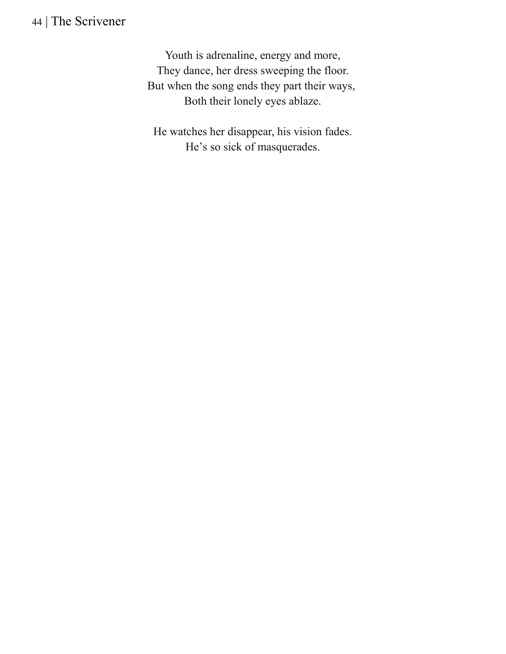Youth is adrenaline, energy and more, They dance, her dress sweeping the floor. But when the song ends they part their ways, Both their lonely eyes ablaze.

He watches her disappear, his vision fades. He's so sick of masquerades.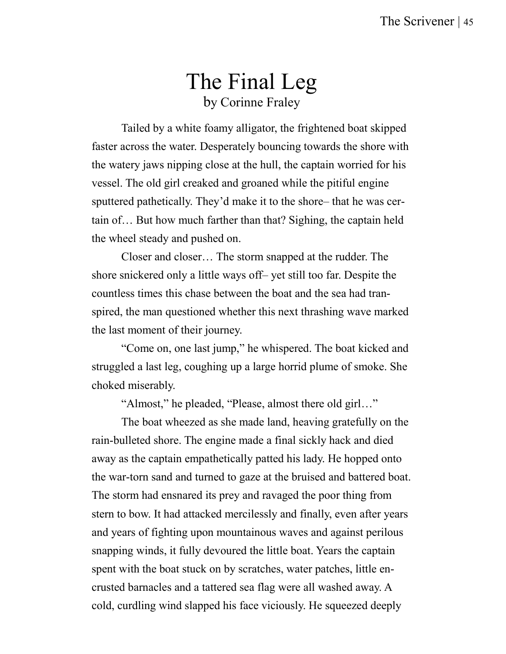### The Final Leg by Corinne Fraley

Tailed by a white foamy alligator, the frightened boat skipped faster across the water. Desperately bouncing towards the shore with the watery jaws nipping close at the hull, the captain worried for his vessel. The old girl creaked and groaned while the pitiful engine sputtered pathetically. They'd make it to the shore– that he was certain of… But how much farther than that? Sighing, the captain held the wheel steady and pushed on.

Closer and closer… The storm snapped at the rudder. The shore snickered only a little ways off– yet still too far. Despite the countless times this chase between the boat and the sea had transpired, the man questioned whether this next thrashing wave marked the last moment of their journey.

"Come on, one last jump," he whispered. The boat kicked and struggled a last leg, coughing up a large horrid plume of smoke. She choked miserably.

"Almost," he pleaded, "Please, almost there old girl…"

The boat wheezed as she made land, heaving gratefully on the rain-bulleted shore. The engine made a final sickly hack and died away as the captain empathetically patted his lady. He hopped onto the war-torn sand and turned to gaze at the bruised and battered boat. The storm had ensnared its prey and ravaged the poor thing from stern to bow. It had attacked mercilessly and finally, even after years and years of fighting upon mountainous waves and against perilous snapping winds, it fully devoured the little boat. Years the captain spent with the boat stuck on by scratches, water patches, little encrusted barnacles and a tattered sea flag were all washed away. A cold, curdling wind slapped his face viciously. He squeezed deeply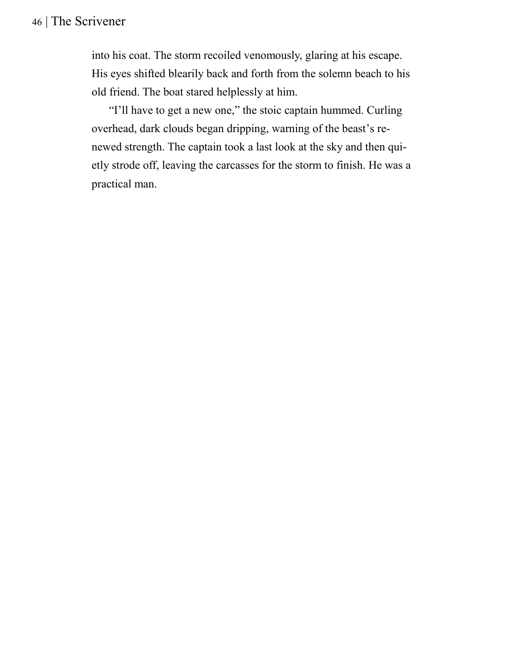into his coat. The storm recoiled venomously, glaring at his escape. His eyes shifted blearily back and forth from the solemn beach to his old friend. The boat stared helplessly at him.

 "I'll have to get a new one," the stoic captain hummed. Curling overhead, dark clouds began dripping, warning of the beast's renewed strength. The captain took a last look at the sky and then quietly strode off, leaving the carcasses for the storm to finish. He was a practical man.